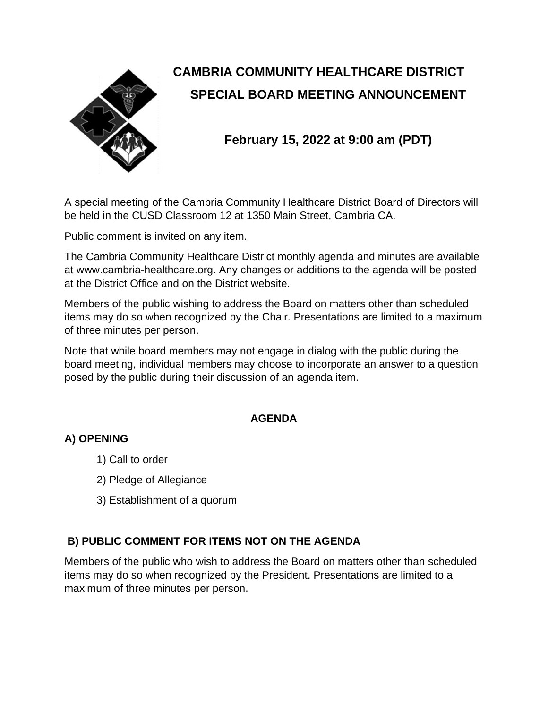

# **CAMBRIA COMMUNITY HEALTHCARE DISTRICT SPECIAL BOARD MEETING ANNOUNCEMENT**

# **February 15, 2022 at 9:00 am (PDT)**

A special meeting of the Cambria Community Healthcare District Board of Directors will be held in the CUSD Classroom 12 at 1350 Main Street, Cambria CA.

Public comment is invited on any item.

The Cambria Community Healthcare District monthly agenda and minutes are available at www.cambria-healthcare.org. Any changes or additions to the agenda will be posted at the District Office and on the District website.

Members of the public wishing to address the Board on matters other than scheduled items may do so when recognized by the Chair. Presentations are limited to a maximum of three minutes per person.

Note that while board members may not engage in dialog with the public during the board meeting, individual members may choose to incorporate an answer to a question posed by the public during their discussion of an agenda item.

#### **AGENDA**

## **A) OPENING**

- 1) Call to order
- 2) Pledge of Allegiance
- 3) Establishment of a quorum

#### **B) PUBLIC COMMENT FOR ITEMS NOT ON THE AGENDA**

Members of the public who wish to address the Board on matters other than scheduled items may do so when recognized by the President. Presentations are limited to a maximum of three minutes per person.